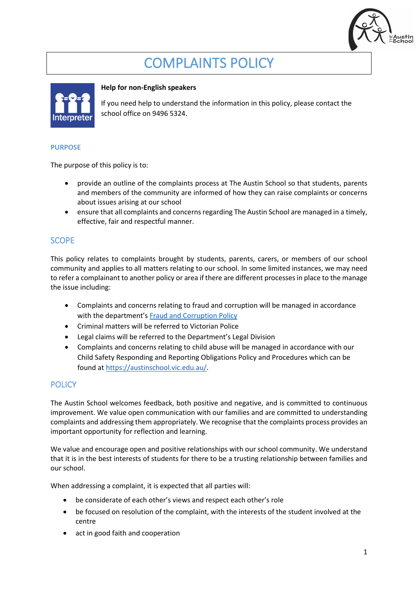

# COMPLAINTS POLICY



#### **Help for non-English speakers**

If you need help to understand the information in this policy, please contact the school office on 9496 5324.

#### **PURPOSE**

The purpose of this policy is to:

- provide an outline of the complaints process at The Austin School so that students, parents and members of the community are informed of how they can raise complaints or concerns about issues arising at our school
- ensure that all complaints and concerns regarding The Austin School are managed in a timely, effective, fair and respectful manner.

## **SCOPE**

This policy relates to complaints brought by students, parents, carers, or members of our school community and applies to all matters relating to our school. In some limited instances, we may need to refer a complainant to another policy or area if there are different processesin place to the manage the issue including:

- Complaints and concerns relating to fraud and corruption will be managed in accordance with the department's [Fraud and Corruption Policy](https://www2.education.vic.gov.au/pal/report-fraud-or-corruption/overview)
- Criminal matters will be referred to Victorian Police
- Legal claims will be referred to the Department's Legal Division
- Complaints and concerns relating to child abuse will be managed in accordance with our Child Safety Responding and Reporting Obligations Policy and Procedures which can be found a[t https://austinschool.vic.edu.au/.](https://austinschool.vic.edu.au/)

# **POLICY**

The Austin School welcomes feedback, both positive and negative, and is committed to continuous improvement. We value open communication with our families and are committed to understanding complaints and addressing them appropriately. We recognise that the complaints process provides an important opportunity for reflection and learning.

We value and encourage open and positive relationships with our school community. We understand that it is in the best interests of students for there to be a trusting relationship between families and our school.

When addressing a complaint, it is expected that all parties will:

- be considerate of each other's views and respect each other's role
- be focused on resolution of the complaint, with the interests of the student involved at the centre
- act in good faith and cooperation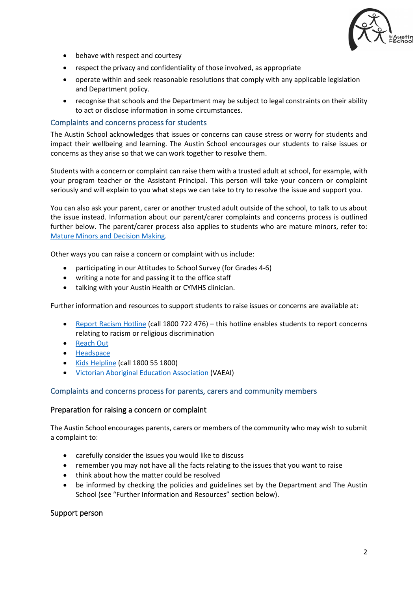

- behave with respect and courtesy
- respect the privacy and confidentiality of those involved, as appropriate
- operate within and seek reasonable resolutions that comply with any applicable legislation and Department policy.
- recognise that schools and the Department may be subject to legal constraints on their ability to act or disclose information in some circumstances.

#### Complaints and concerns process for students

The Austin School acknowledges that issues or concerns can cause stress or worry for students and impact their wellbeing and learning. The Austin School encourages our students to raise issues or concerns as they arise so that we can work together to resolve them.

Students with a concern or complaint can raise them with a trusted adult at school, for example, with your program teacher or the Assistant Principal. This person will take your concern or complaint seriously and will explain to you what steps we can take to try to resolve the issue and support you.

You can also ask your parent, carer or another trusted adult outside of the school, to talk to us about the issue instead. Information about our parent/carer complaints and concerns process is outlined further below. The parent/carer process also applies to students who are mature minors, refer to: [Mature Minors and Decision Making.](https://www2.education.vic.gov.au/pal/mature-minors-and-decision-making/policy)

Other ways you can raise a concern or complaint with us include:

- participating in our Attitudes to School Survey (for Grades 4-6)
- writing a note for and passing it to the office staff
- talking with your Austin Health or CYMHS clinician.

Further information and resources to support students to raise issues or concerns are available at:

- [Report Racism Hotline](https://www.vic.gov.au/report-racism-or-religious-discrimination-schools) (call 1800 722 476) this hotline enables students to report concerns relating to racism or religious discrimination
- [Reach Out](https://au.reachout.com/?gclid=CjwKCAiAgbiQBhAHEiwAuQ6BktaB5xneGFK3TnOql5c5eZ7af7dDm9ffLZa7N59FEtbtQzVIk8sGWhoC8N0QAvD_BwE)
- [Headspace](https://headspace.org.au/)
- [Kids Helpline](https://kidshelpline.com.au/?gclid=CjwKCAiAgbiQBhAHEiwAuQ6Bkro6UD2EBcRILznFnRhKjfi5I84jJlUa0fyiiYLQ4mHx5sXTStxH8BoCCEIQAvD_BwE) (call 1800 55 1800)
- [Victorian Aboriginal Education Association](https://www.vaeai.org.au/) (VAEAI)

#### Complaints and concerns process for parents, carers and community members

#### Preparation for raising a concern or complaint

The Austin School encourages parents, carers or members of the community who may wish to submit a complaint to:

- carefully consider the issues you would like to discuss
- remember you may not have all the facts relating to the issues that you want to raise
- think about how the matter could be resolved
- be informed by checking the policies and guidelines set by the Department and The Austin School (see "Further Information and Resources" section below).

#### Support person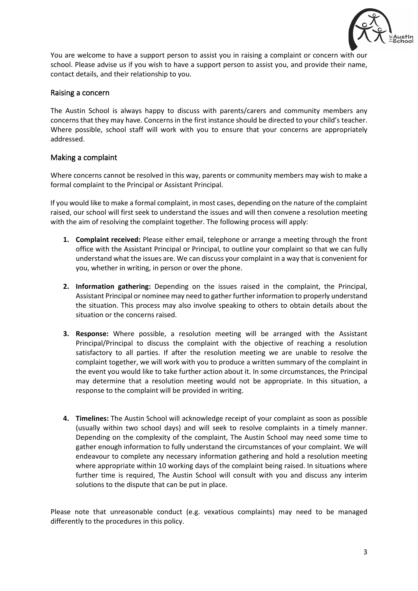

You are welcome to have a support person to assist you in raising a complaint or concern with our school. Please advise us if you wish to have a support person to assist you, and provide their name, contact details, and their relationship to you.

#### Raising a concern

The Austin School is always happy to discuss with parents/carers and community members any concerns that they may have. Concerns in the first instance should be directed to your child's teacher. Where possible, school staff will work with you to ensure that your concerns are appropriately addressed.

## Making a complaint

Where concerns cannot be resolved in this way, parents or community members may wish to make a formal complaint to the Principal or Assistant Principal.

If you would like to make a formal complaint, in most cases, depending on the nature of the complaint raised, our school will first seek to understand the issues and will then convene a resolution meeting with the aim of resolving the complaint together. The following process will apply:

- **1. Complaint received:** Please either email, telephone or arrange a meeting through the front office with the Assistant Principal or Principal, to outline your complaint so that we can fully understand what the issues are. We can discuss your complaint in a way that is convenient for you, whether in writing, in person or over the phone.
- **2. Information gathering:** Depending on the issues raised in the complaint, the Principal, Assistant Principal or nominee may need to gather further information to properly understand the situation. This process may also involve speaking to others to obtain details about the situation or the concerns raised.
- **3. Response:** Where possible, a resolution meeting will be arranged with the Assistant Principal/Principal to discuss the complaint with the objective of reaching a resolution satisfactory to all parties. If after the resolution meeting we are unable to resolve the complaint together, we will work with you to produce a written summary of the complaint in the event you would like to take further action about it. In some circumstances, the Principal may determine that a resolution meeting would not be appropriate. In this situation, a response to the complaint will be provided in writing.
- **4. Timelines:** The Austin School will acknowledge receipt of your complaint as soon as possible (usually within two school days) and will seek to resolve complaints in a timely manner. Depending on the complexity of the complaint, The Austin School may need some time to gather enough information to fully understand the circumstances of your complaint. We will endeavour to complete any necessary information gathering and hold a resolution meeting where appropriate within 10 working days of the complaint being raised. In situations where further time is required, The Austin School will consult with you and discuss any interim solutions to the dispute that can be put in place.

Please note that unreasonable conduct (e.g. vexatious complaints) may need to be managed differently to the procedures in this policy.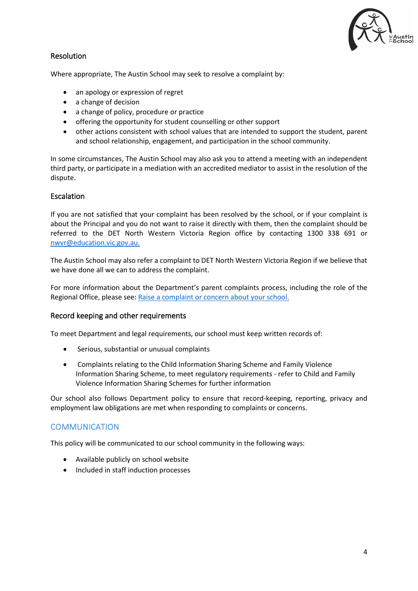

# Resolution

Where appropriate, The Austin School may seek to resolve a complaint by:

- an apology or expression of regret
- a change of decision
- a change of policy, procedure or practice
- offering the opportunity for student counselling or other support
- other actions consistent with school values that are intended to support the student, parent and school relationship, engagement, and participation in the school community.

In some circumstances, The Austin School may also ask you to attend a meeting with an independent third party, or participate in a mediation with an accredited mediator to assist in the resolution of the dispute.

## **Escalation**

If you are not satisfied that your complaint has been resolved by the school, or if your complaint is about the Principal and you do not want to raise it directly with them, then the complaint should be referred to the DET North Western Victoria Region office by contacting 1300 338 691 or [nwvr@education.vic.gov.au.](mailto:nwvr@education.vic.gov.au)

The Austin School may also refer a complaint to DET North Western Victoria Region if we believe that we have done all we can to address the complaint.

For more information about the Department's parent complaints process, including the role of the Regional Office, please see: [Raise a complaint or concern about your school.](https://www.vic.gov.au/raise-complaint-or-concern-about-your-school#speaking-to-your-school)

## Record keeping and other requirements

To meet Department and legal requirements, our school must keep written records of:

- Serious, substantial or unusual complaints
- Complaints relating to the Child Information Sharing Scheme and Family Violence Information Sharing Scheme, to meet regulatory requirements - refer to Child and Family Violence Information Sharing Schemes for further information

Our school also follows Department policy to ensure that record-keeping, reporting, privacy and employment law obligations are met when responding to complaints or concerns.

## **COMMUNICATION**

This policy will be communicated to our school community in the following ways:

- Available publicly on school website
- Included in staff induction processes